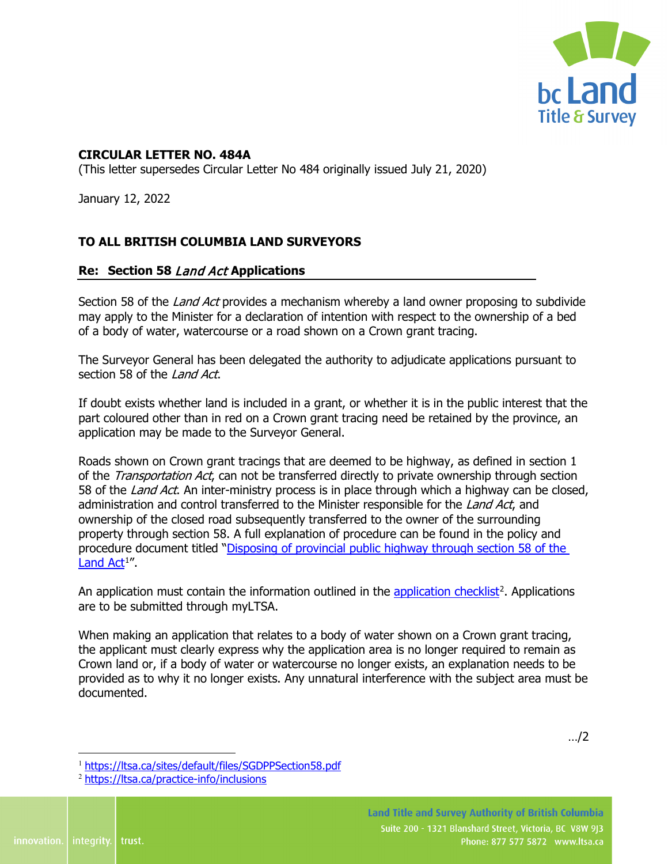

## **CIRCULAR LETTER NO. 484A**

(This letter supersedes Circular Letter No 484 originally issued July 21, 2020)

January 12, 2022

## **TO ALL BRITISH COLUMBIA LAND SURVEYORS**

## **Re: Section 58** Land Act **Applications**

Section 58 of the *Land Act* provides a mechanism whereby a land owner proposing to subdivide may apply to the Minister for a declaration of intention with respect to the ownership of a bed of a body of water, watercourse or a road shown on a Crown grant tracing.

The Surveyor General has been delegated the authority to adjudicate applications pursuant to section 58 of the Land Act.

If doubt exists whether land is included in a grant, or whether it is in the public interest that the part coloured other than in red on a Crown grant tracing need be retained by the province, an application may be made to the Surveyor General.

Roads shown on Crown grant tracings that are deemed to be highway, as defined in section 1 of the *Transportation Act*, can not be transferred directly to private ownership through section 58 of the Land Act. An inter-ministry process is in place through which a highway can be closed, administration and control transferred to the Minister responsible for the Land Act, and ownership of the closed road subsequently transferred to the owner of the surrounding property through section 58. A full explanation of procedure can be found in the policy and procedure document titled ["Disposing of provincial public highway through section 58 of the](https://ltsa.ca/sites/default/files/SGDPPSection58.pdf)  <u>[Land Act](https://ltsa.ca/sites/default/files/SGDPPSection58.pdf)</u>[1](#page-0-0)".

An application must contain the information outlined in the [application checklist](https://ltsa.ca/practice-info/inclusions)<sup>[2](#page-0-1)</sup>. Applications are to be submitted through myLTSA.

When making an application that relates to a body of water shown on a Crown grant tracing, the applicant must clearly express why the application area is no longer required to remain as Crown land or, if a body of water or watercourse no longer exists, an explanation needs to be provided as to why it no longer exists. Any unnatural interference with the subject area must be documented.

…/2

<span id="page-0-0"></span><sup>1</sup> <https://ltsa.ca/sites/default/files/SGDPPSection58.pdf>

<span id="page-0-1"></span><sup>2</sup> <https://ltsa.ca/practice-info/inclusions>